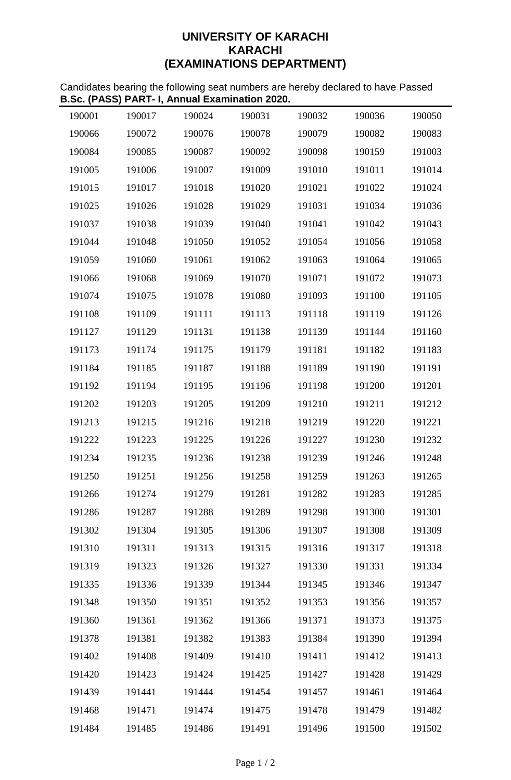## **UNIVERSITY OF KARACHI KARACHI (EXAMINATIONS DEPARTMENT)**

Candidates bearing the following seat numbers are hereby declared to have Passed **B.Sc. (PASS) PART- I, Annual Examination 2020.**

| 190001 | 190017 | 190024 | 190031 | 190032 | 190036 | 190050 |
|--------|--------|--------|--------|--------|--------|--------|
| 190066 | 190072 | 190076 | 190078 | 190079 | 190082 | 190083 |
| 190084 | 190085 | 190087 | 190092 | 190098 | 190159 | 191003 |
| 191005 | 191006 | 191007 | 191009 | 191010 | 191011 | 191014 |
| 191015 | 191017 | 191018 | 191020 | 191021 | 191022 | 191024 |
| 191025 | 191026 | 191028 | 191029 | 191031 | 191034 | 191036 |
| 191037 | 191038 | 191039 | 191040 | 191041 | 191042 | 191043 |
| 191044 | 191048 | 191050 | 191052 | 191054 | 191056 | 191058 |
| 191059 | 191060 | 191061 | 191062 | 191063 | 191064 | 191065 |
| 191066 | 191068 | 191069 | 191070 | 191071 | 191072 | 191073 |
| 191074 | 191075 | 191078 | 191080 | 191093 | 191100 | 191105 |
| 191108 | 191109 | 191111 | 191113 | 191118 | 191119 | 191126 |
| 191127 | 191129 | 191131 | 191138 | 191139 | 191144 | 191160 |
| 191173 | 191174 | 191175 | 191179 | 191181 | 191182 | 191183 |
| 191184 | 191185 | 191187 | 191188 | 191189 | 191190 | 191191 |
| 191192 | 191194 | 191195 | 191196 | 191198 | 191200 | 191201 |
| 191202 | 191203 | 191205 | 191209 | 191210 | 191211 | 191212 |
| 191213 | 191215 | 191216 | 191218 | 191219 | 191220 | 191221 |
| 191222 | 191223 | 191225 | 191226 | 191227 | 191230 | 191232 |
| 191234 | 191235 | 191236 | 191238 | 191239 | 191246 | 191248 |
| 191250 | 191251 | 191256 | 191258 | 191259 | 191263 | 191265 |
| 191266 | 191274 | 191279 | 191281 | 191282 | 191283 | 191285 |
| 191286 | 191287 | 191288 | 191289 | 191298 | 191300 | 191301 |
| 191302 | 191304 | 191305 | 191306 | 191307 | 191308 | 191309 |
| 191310 | 191311 | 191313 | 191315 | 191316 | 191317 | 191318 |
| 191319 | 191323 | 191326 | 191327 | 191330 | 191331 | 191334 |
| 191335 | 191336 | 191339 | 191344 | 191345 | 191346 | 191347 |
| 191348 | 191350 | 191351 | 191352 | 191353 | 191356 | 191357 |
| 191360 | 191361 | 191362 | 191366 | 191371 | 191373 | 191375 |
| 191378 | 191381 | 191382 | 191383 | 191384 | 191390 | 191394 |
| 191402 | 191408 | 191409 | 191410 | 191411 | 191412 | 191413 |
| 191420 | 191423 | 191424 | 191425 | 191427 | 191428 | 191429 |
| 191439 | 191441 | 191444 | 191454 | 191457 | 191461 | 191464 |
| 191468 | 191471 | 191474 | 191475 | 191478 | 191479 | 191482 |
| 191484 | 191485 | 191486 | 191491 | 191496 | 191500 | 191502 |